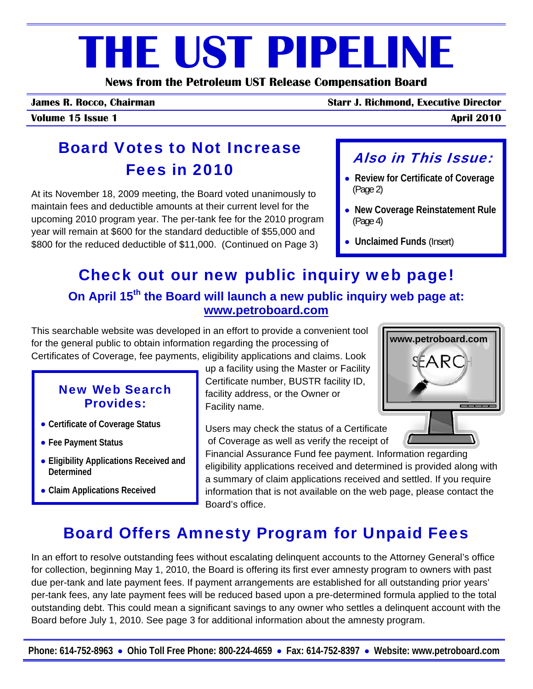## **THE UST PIPELINE**

**News from the Petroleum UST Release Compensation Board** 

**James R. Rocco, Chairman Starr J. Richmond, Executive Director**

**Volume 15 Issue 1 April 2010**

## Board Votes to Not Increase Fees in 2010

At its November 18, 2009 meeting, the Board voted unanimously to maintain fees and deductible amounts at their current level for the upcoming 2010 program year. The per-tank fee for the 2010 program year will remain at \$600 for the standard deductible of \$55,000 and \$800 for the reduced deductible of \$11,000. (Continued on Page 3)

#### Also in This Issue:

- • **Review for Certificate of Coverage**  (Page 2)
- **New Coverage Reinstatement Rule**  (Page 4)
- • **Unclaimed Funds** (Insert)

## Check out our new public inquiry web page!

#### **On April 15th the Board will launch a new public inquiry web page at: www.petroboard.com**

This searchable website was developed in an effort to provide a convenient tool for the general public to obtain information regarding the processing of Certificates of Coverage, fee payments, eligibility applications and claims. Look

#### New Web Search Provides:

- **Certificate of Coverage Status**
- **Fee Payment Status**
- **Eligibility Applications Received and Determined**
- **Claim Applications Received**

up a facility using the Master or Facility Certificate number, BUSTR facility ID, facility address, or the Owner or Facility name.

Users may check the status of a Certificate of Coverage as well as verify the receipt of

Financial Assurance Fund fee payment. Information regarding eligibility applications received and determined is provided along with a summary of claim applications received and settled. If you require information that is not available on the web page, please contact the Board's office.

### Board Offers Amnesty Program for Unpaid Fees

In an effort to resolve outstanding fees without escalating delinquent accounts to the Attorney General's office for collection, beginning May 1, 2010, the Board is offering its first ever amnesty program to owners with past due per-tank and late payment fees. If payment arrangements are established for all outstanding prior years' per-tank fees, any late payment fees will be reduced based upon a pre-determined formula applied to the total outstanding debt. This could mean a significant savings to any owner who settles a delinquent account with the Board before July 1, 2010. See page 3 for additional information about the amnesty program.

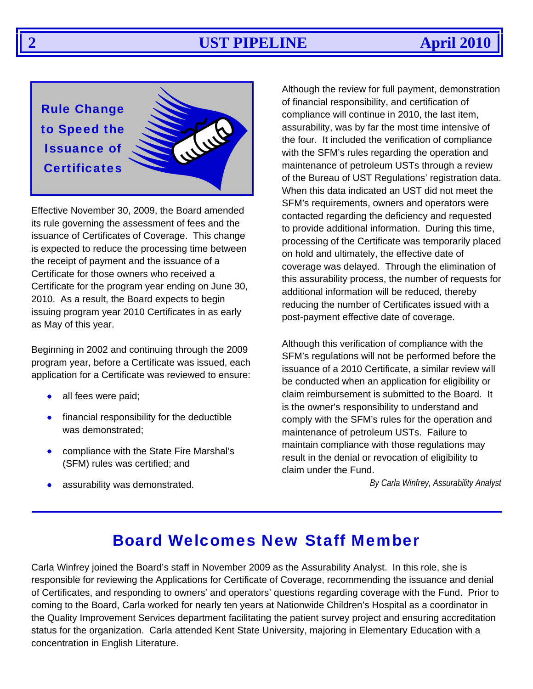#### **2 UST PIPELINE April 2010**

JULI

Rule Change to Speed the Issuance of **Certificates** 

Effective November 30, 2009, the Board amended its rule governing the assessment of fees and the issuance of Certificates of Coverage. This change is expected to reduce the processing time between the receipt of payment and the issuance of a Certificate for those owners who received a Certificate for the program year ending on June 30, 2010. As a result, the Board expects to begin issuing program year 2010 Certificates in as early as May of this year.

Beginning in 2002 and continuing through the 2009 program year, before a Certificate was issued, each application for a Certificate was reviewed to ensure:

- all fees were paid;
- financial responsibility for the deductible was demonstrated;
- compliance with the State Fire Marshal's (SFM) rules was certified; and
- assurability was demonstrated.

Although the review for full payment, demonstration of financial responsibility, and certification of compliance will continue in 2010, the last item, assurability, was by far the most time intensive of the four. It included the verification of compliance with the SFM's rules regarding the operation and maintenance of petroleum USTs through a review of the Bureau of UST Regulations' registration data. When this data indicated an UST did not meet the SFM's requirements, owners and operators were contacted regarding the deficiency and requested to provide additional information. During this time, processing of the Certificate was temporarily placed on hold and ultimately, the effective date of coverage was delayed. Through the elimination of this assurability process, the number of requests for additional information will be reduced, thereby reducing the number of Certificates issued with a post-payment effective date of coverage.

Although this verification of compliance with the SFM's regulations will not be performed before the issuance of a 2010 Certificate, a similar review will be conducted when an application for eligibility or claim reimbursement is submitted to the Board. It is the owner's responsibility to understand and comply with the SFM's rules for the operation and maintenance of petroleum USTs. Failure to maintain compliance with those regulations may result in the denial or revocation of eligibility to claim under the Fund.

*By Carla Winfrey, Assurability Analyst*

#### Board Welcomes New Staff Member

Carla Winfrey joined the Board's staff in November 2009 as the Assurability Analyst. In this role, she is responsible for reviewing the Applications for Certificate of Coverage, recommending the issuance and denial of Certificates, and responding to owners' and operators' questions regarding coverage with the Fund. Prior to coming to the Board, Carla worked for nearly ten years at Nationwide Children's Hospital as a coordinator in the Quality Improvement Services department facilitating the patient survey project and ensuring accreditation status for the organization. Carla attended Kent State University, majoring in Elementary Education with a concentration in English Literature.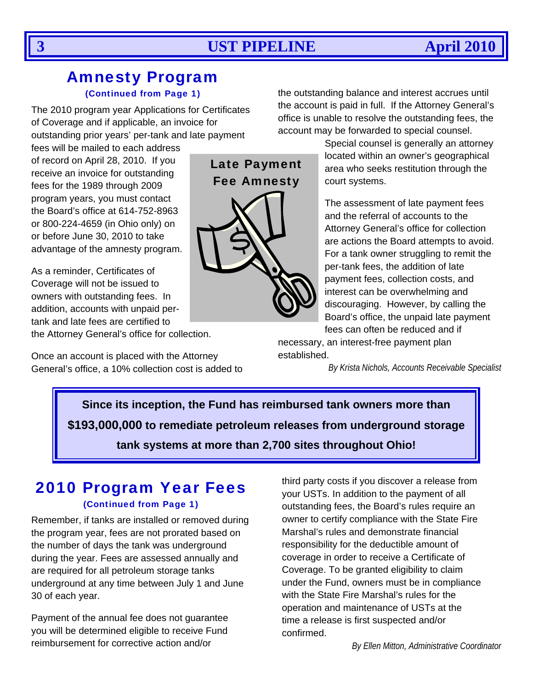#### Amnesty Program (Continued from Page 1)

The 2010 program year Applications for Certificates of Coverage and if applicable, an invoice for outstanding prior years' per-tank and late payment

fees will be mailed to each address of record on April 28, 2010. If you receive an invoice for outstanding fees for the 1989 through 2009 program years, you must contact the Board's office at 614-752-8963 or 800-224-4659 (in Ohio only) on or before June 30, 2010 to take advantage of the amnesty program.

As a reminder, Certificates of Coverage will not be issued to owners with outstanding fees. In addition, accounts with unpaid pertank and late fees are certified to

the Attorney General's office for collection.

Once an account is placed with the Attorney General's office, a 10% collection cost is added to the outstanding balance and interest accrues until the account is paid in full. If the Attorney General's office is unable to resolve the outstanding fees, the account may be forwarded to special counsel.

> Special counsel is generally an attorney located within an owner's geographical area who seeks restitution through the court systems.

> The assessment of late payment fees and the referral of accounts to the Attorney General's office for collection are actions the Board attempts to avoid. For a tank owner struggling to remit the per-tank fees, the addition of late payment fees, collection costs, and interest can be overwhelming and discouraging. However, by calling the Board's office, the unpaid late payment fees can often be reduced and if

necessary, an interest-free payment plan established.

*By Krista Nichols, Accounts Receivable Specialist*

**Since its inception, the Fund has reimbursed tank owners more than \$193,000,000 to remediate petroleum releases from underground storage tank systems at more than 2,700 sites throughout Ohio!** 

#### 2010 Program Year Fees

#### (Continued from Page 1)

Remember, if tanks are installed or removed during the program year, fees are not prorated based on the number of days the tank was underground during the year. Fees are assessed annually and are required for all petroleum storage tanks underground at any time between July 1 and June 30 of each year.

Payment of the annual fee does not guarantee you will be determined eligible to receive Fund reimbursement for corrective action and/or

third party costs if you discover a release from your USTs. In addition to the payment of all outstanding fees, the Board's rules require an owner to certify compliance with the State Fire Marshal's rules and demonstrate financial responsibility for the deductible amount of coverage in order to receive a Certificate of Coverage. To be granted eligibility to claim under the Fund, owners must be in compliance with the State Fire Marshal's rules for the operation and maintenance of USTs at the time a release is first suspected and/or confirmed.

*By Ellen Mitton, Administrative Coordinator*

# Late Payment Fee Amnesty